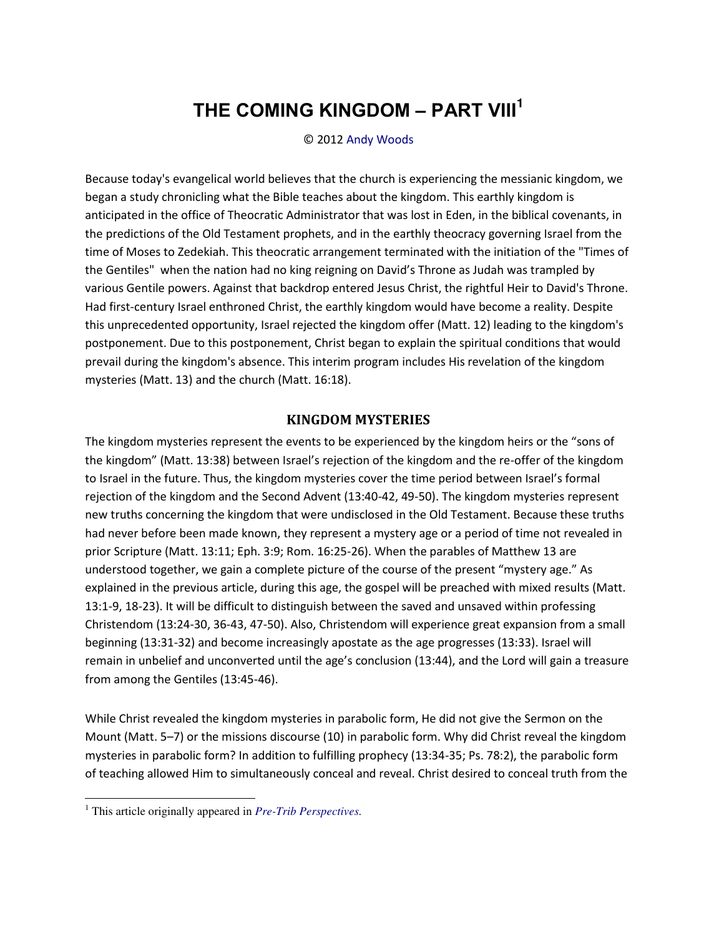# THE COMING KINGDOM - PART VIII<sup>1</sup>

#### © 2012 Andy Woods

Because today's evangelical world believes that the church is experiencing the messianic kingdom, we began a study chronicling what the Bible teaches about the kingdom. This earthly kingdom is anticipated in the office of Theocratic Administrator that was lost in Eden, in the biblical covenants, in the predictions of the Old Testament prophets, and in the earthly theocracy governing Israel from the time of Moses to Zedekiah. This theocratic arrangement terminated with the initiation of the "Times of the Gentiles" when the nation had no king reigning on David's Throne as Judah was trampled by various Gentile powers. Against that backdrop entered Jesus Christ, the rightful Heir to David's Throne. Had first-century Israel enthroned Christ, the earthly kingdom would have become a reality. Despite this unprecedented opportunity, Israel rejected the kingdom offer (Matt. 12) leading to the kingdom's postponement. Due to this postponement, Christ began to explain the spiritual conditions that would prevail during the kingdom's absence. This interim program includes His revelation of the kingdom mysteries (Matt. 13) and the church (Matt. 16:18).

### **KINGDOM MYSTERIES**

The kingdom mysteries represent the events to be experienced by the kingdom heirs or the "sons of the kingdom" (Matt. 13:38) between Israel's rejection of the kingdom and the re-offer of the kingdom to Israel in the future. Thus, the kingdom mysteries cover the time period between Israel's formal rejection of the kingdom and the Second Advent (13:40-42, 49-50). The kingdom mysteries represent new truths concerning the kingdom that were undisclosed in the Old Testament. Because these truths had never before been made known, they represent a mystery age or a period of time not revealed in prior Scripture (Matt. 13:11; Eph. 3:9; Rom. 16:25-26). When the parables of Matthew 13 are understood together, we gain a complete picture of the course of the present "mystery age." As explained in the previous article, during this age, the gospel will be preached with mixed results (Matt. 13:1-9, 18-23). It will be difficult to distinguish between the saved and unsaved within professing Christendom (13:24-30, 36-43, 47-50). Also, Christendom will experience great expansion from a small beginning (13:31-32) and become increasingly apostate as the age progresses (13:33). Israel will remain in unbelief and unconverted until the age's conclusion (13:44), and the Lord will gain a treasure from among the Gentiles (13:45-46).

While Christ revealed the kingdom mysteries in parabolic form, He did not give the Sermon on the Mount (Matt. 5-7) or the missions discourse (10) in parabolic form. Why did Christ reveal the kingdom mysteries in parabolic form? In addition to fulfilling prophecy (13:34-35; Ps. 78:2), the parabolic form of teaching allowed Him to simultaneously conceal and reveal. Christ desired to conceal truth from the

 $<sup>1</sup>$  This article originally appeared in *Pre-Trib Perspectives*.</sup>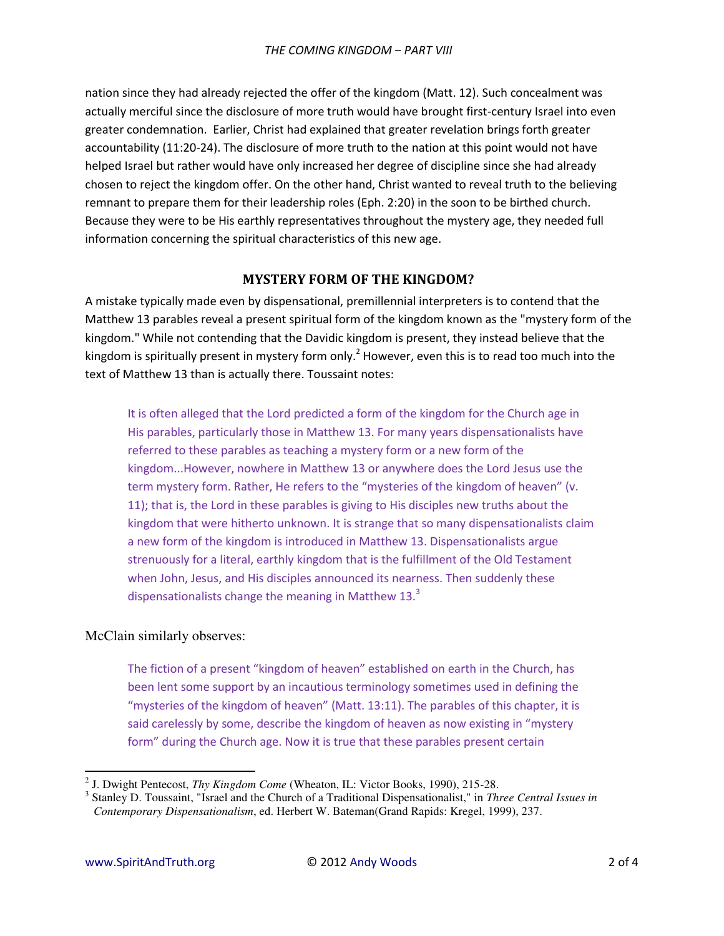nation since they had already rejected the offer of the kingdom (Matt. 12). Such concealment was actually merciful since the disclosure of more truth would have brought first-century Israel into even greater condemnation. Earlier, Christ had explained that greater revelation brings forth greater accountability (11:20-24). The disclosure of more truth to the nation at this point would not have helped Israel but rather would have only increased her degree of discipline since she had already chosen to reject the kingdom offer. On the other hand, Christ wanted to reveal truth to the believing remnant to prepare them for their leadership roles (Eph. 2:20) in the soon to be birthed church. Because they were to be His earthly representatives throughout the mystery age, they needed full information concerning the spiritual characteristics of this new age.

## **MYSTERY FORM OF THE KINGDOM?**

A mistake typically made even by dispensational, premillennial interpreters is to contend that the Matthew 13 parables reveal a present spiritual form of the kingdom known as the "mystery form of the kingdom." While not contending that the Davidic kingdom is present, they instead believe that the kingdom is spiritually present in mystery form only.<sup>2</sup> However, even this is to read too much into the text of Matthew 13 than is actually there. Toussaint notes:

It is often alleged that the Lord predicted a form of the kingdom for the Church age in His parables, particularly those in Matthew 13. For many years dispensationalists have referred to these parables as teaching a mystery form or a new form of the kingdom...However, nowhere in Matthew 13 or anywhere does the Lord Jesus use the term mystery form. Rather, He refers to the "mysteries of the kingdom of heaven" (v. 11); that is, the Lord in these parables is giving to His disciples new truths about the kingdom that were hitherto unknown. It is strange that so many dispensationalists claim a new form of the kingdom is introduced in Matthew 13. Dispensationalists argue strenuously for a literal, earthly kingdom that is the fulfillment of the Old Testament when John, Jesus, and His disciples announced its nearness. Then suddenly these dispensationalists change the meaning in Matthew  $13<sup>3</sup>$ 

## McClain similarly observes:

The fiction of a present "kingdom of heaven" established on earth in the Church, has been lent some support by an incautious terminology sometimes used in defining the "mysteries of the kingdom of heaven" (Matt. 13:11). The parables of this chapter, it is said carelessly by some, describe the kingdom of heaven as now existing in "mystery form" during the Church age. Now it is true that these parables present certain

 $\overline{a}$ 

<sup>2</sup> J. Dwight Pentecost, *Thy Kingdom Come* (Wheaton, IL: Victor Books, 1990), 215-28.

<sup>3</sup> Stanley D. Toussaint, "Israel and the Church of a Traditional Dispensationalist," in *Three Central Issues in Contemporary Dispensationalism*, ed. Herbert W. Bateman(Grand Rapids: Kregel, 1999), 237.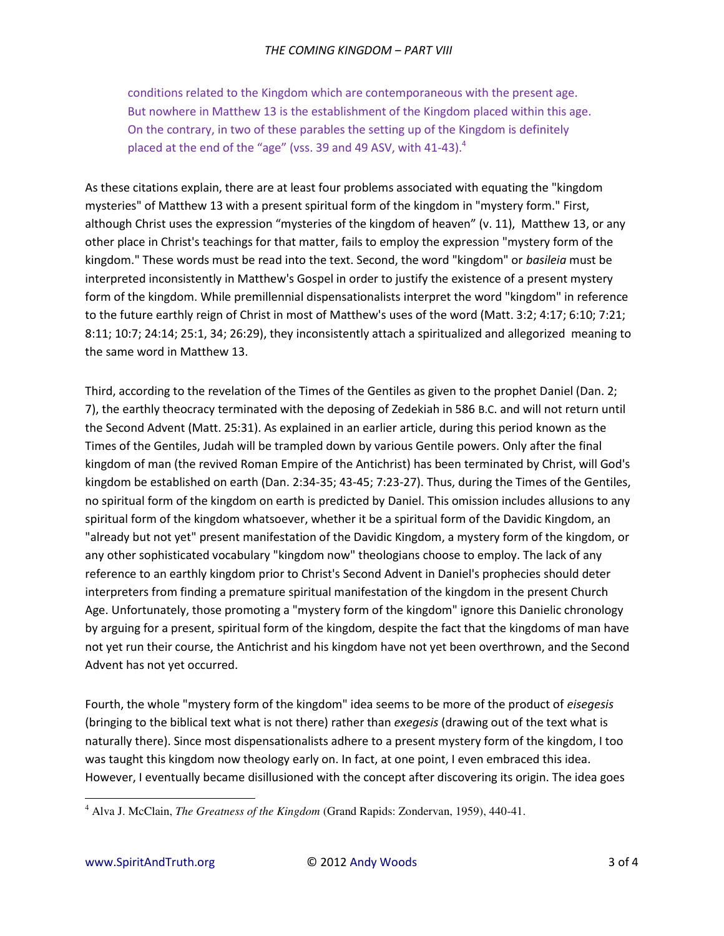conditions related to the Kingdom which are contemporaneous with the present age. But nowhere in Matthew 13 is the establishment of the Kingdom placed within this age. On the contrary, in two of these parables the setting up of the Kingdom is definitely placed at the end of the "age" (vss. 39 and 49 ASV, with 41-43). $4$ 

As these citations explain, there are at least four problems associated with equating the "kingdom mysteries" of Matthew 13 with a present spiritual form of the kingdom in "mystery form." First, although Christ uses the expression "mysteries of the kingdom of heaven" (v. 11), Matthew 13, or any other place in Christ's teachings for that matter, fails to employ the expression "mystery form of the kingdom." These words must be read into the text. Second, the word "kingdom" or *basileia* must be interpreted inconsistently in Matthew's Gospel in order to justify the existence of a present mystery form of the kingdom. While premillennial dispensationalists interpret the word "kingdom" in reference to the future earthly reign of Christ in most of Matthew's uses of the word (Matt. 3:2; 4:17; 6:10; 7:21; 8:11; 10:7; 24:14; 25:1, 34; 26:29), they inconsistently attach a spiritualized and allegorized meaning to the same word in Matthew 13.

Third, according to the revelation of the Times of the Gentiles as given to the prophet Daniel (Dan. 2; 7), the earthly theocracy terminated with the deposing of Zedekiah in 586 B.C. and will not return until the Second Advent (Matt. 25:31). As explained in an earlier article, during this period known as the Times of the Gentiles, Judah will be trampled down by various Gentile powers. Only after the final kingdom of man (the revived Roman Empire of the Antichrist) has been terminated by Christ, will God's kingdom be established on earth (Dan. 2:34-35; 43-45; 7:23-27). Thus, during the Times of the Gentiles, no spiritual form of the kingdom on earth is predicted by Daniel. This omission includes allusions to any spiritual form of the kingdom whatsoever, whether it be a spiritual form of the Davidic Kingdom, an "already but not yet" present manifestation of the Davidic Kingdom, a mystery form of the kingdom, or any other sophisticated vocabulary "kingdom now" theologians choose to employ. The lack of any reference to an earthly kingdom prior to Christ's Second Advent in Daniel's prophecies should deter interpreters from finding a premature spiritual manifestation of the kingdom in the present Church Age. Unfortunately, those promoting a "mystery form of the kingdom" ignore this Danielic chronology by arguing for a present, spiritual form of the kingdom, despite the fact that the kingdoms of man have not yet run their course, the Antichrist and his kingdom have not yet been overthrown, and the Second Advent has not yet occurred.

Fourth, the whole "mystery form of the kingdom" idea seems to be more of the product of *eisegesis* (bringing to the biblical text what is not there) rather than *exegesis* (drawing out of the text what is naturally there). Since most dispensationalists adhere to a present mystery form of the kingdom, I too was taught this kingdom now theology early on. In fact, at one point, I even embraced this idea. However, I eventually became disillusioned with the concept after discovering its origin. The idea goes

 $\overline{a}$ 

<sup>4</sup> Alva J. McClain, *The Greatness of the Kingdom* (Grand Rapids: Zondervan, 1959), 440-41.